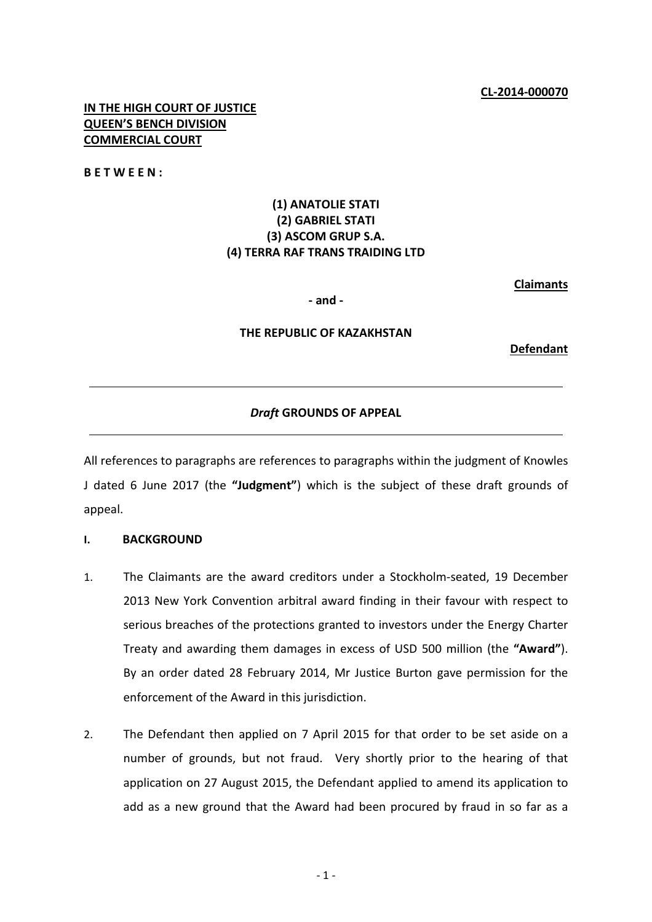## **IN THE HIGH COURT OF JUSTICE QUEEN'S BENCH DIVISION COMMERCIAL COURT**

**BETWEEN:**

# **(1) ANATOLIE STATI (2) GABRIEL STATI (3) ASCOM GRUP S.A. (4) TERRA RAF TRANS TRAIDING LTD**

**Claimants**

**- and -**

## **THE REPUBLIC OF KAZAKHSTAN**

**Defendant**

## *Draft* **GROUNDS OF APPEAL**

All references to paragraphs are references to paragraphs within the judgment of Knowles J dated 6 June 2017 (the **"Judgment"**) which is the subject of these draft grounds of appeal.

#### **I. BACKGROUND**

- 1. The Claimants are the award creditors under a Stockholm-seated, 19 December 2013 New York Convention arbitral award finding in their favour with respect to serious breaches of the protections granted to investors under the Energy Charter Treaty and awarding them damages in excess of USD 500 million (the **"Award"**). By an order dated 28 February 2014, Mr Justice Burton gave permission for the enforcement of the Award in this jurisdiction.
- 2. The Defendant then applied on 7 April 2015 for that order to be set aside on a number of grounds, but not fraud. Very shortly prior to the hearing of that application on 27 August 2015, the Defendant applied to amend its application to add as a new ground that the Award had been procured by fraud in so far as a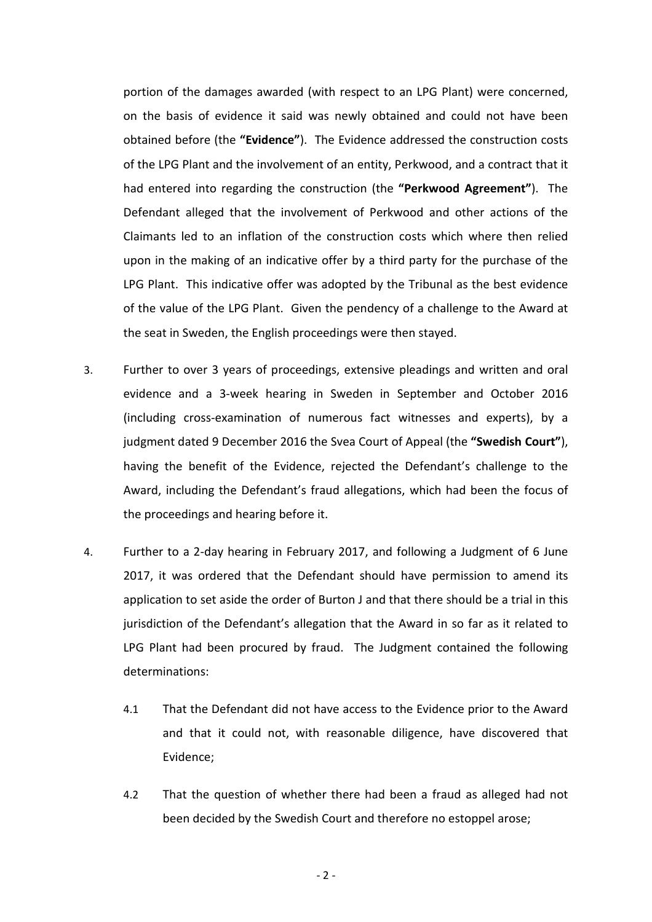portion of the damages awarded (with respect to an LPG Plant) were concerned, on the basis of evidence it said was newly obtained and could not have been obtained before (the **"Evidence"**). The Evidence addressed the construction costs of the LPG Plant and the involvement of an entity, Perkwood, and a contract that it had entered into regarding the construction (the **"Perkwood Agreement"**). The Defendant alleged that the involvement of Perkwood and other actions of the Claimants led to an inflation of the construction costs which where then relied upon in the making of an indicative offer by a third party for the purchase of the LPG Plant. This indicative offer was adopted by the Tribunal as the best evidence of the value of the LPG Plant. Given the pendency of a challenge to the Award at the seat in Sweden, the English proceedings were then stayed.

- 3. Further to over 3 years of proceedings, extensive pleadings and written and oral evidence and a 3-week hearing in Sweden in September and October 2016 (including cross-examination of numerous fact witnesses and experts), by a judgment dated 9 December 2016 the Svea Court of Appeal (the **"Swedish Court"**), having the benefit of the Evidence, rejected the Defendant's challenge to the Award, including the Defendant's fraud allegations, which had been the focus of the proceedings and hearing before it.
- 4. Further to a 2-day hearing in February 2017, and following a Judgment of 6 June 2017, it was ordered that the Defendant should have permission to amend its application to set aside the order of Burton J and that there should be a trial in this jurisdiction of the Defendant's allegation that the Award in so far as it related to LPG Plant had been procured by fraud. The Judgment contained the following determinations:
	- 4.1 That the Defendant did not have access to the Evidence prior to the Award and that it could not, with reasonable diligence, have discovered that Evidence;
	- 4.2 That the question of whether there had been a fraud as alleged had not been decided by the Swedish Court and therefore no estoppel arose;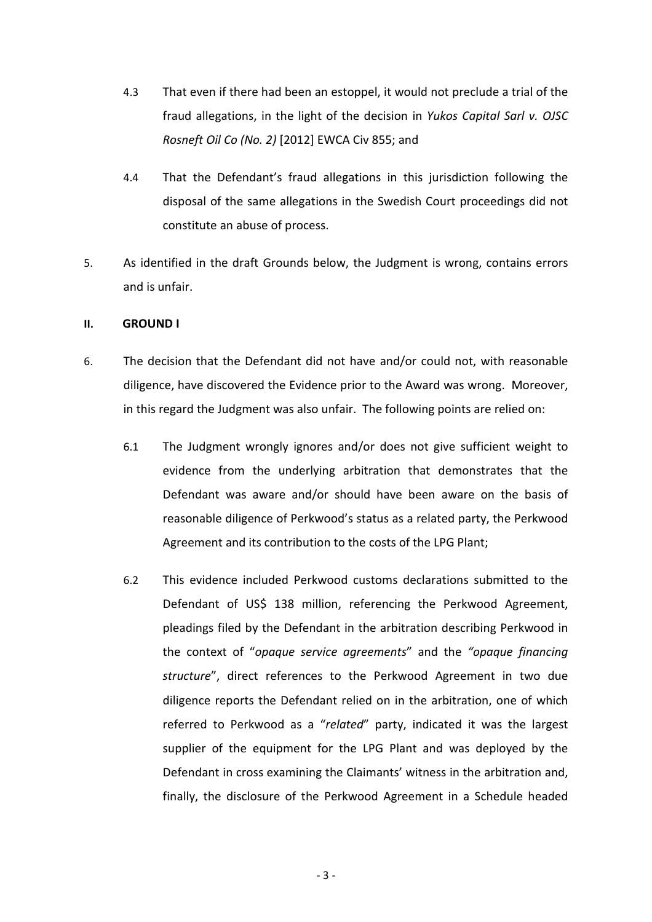- 4.3 That even if there had been an estoppel, it would not preclude a trial of the fraud allegations, in the light of the decision in *Yukos Capital Sarl v. OJSC Rosneft Oil Co (No. 2)* [2012] EWCA Civ 855; and
- 4.4 That the Defendant's fraud allegations in this jurisdiction following the disposal of the same allegations in the Swedish Court proceedings did not constitute an abuse of process.
- 5. As identified in the draft Grounds below, the Judgment is wrong, contains errors and is unfair.

## **II. GROUND I**

- 6. The decision that the Defendant did not have and/or could not, with reasonable diligence, have discovered the Evidence prior to the Award was wrong. Moreover, in this regard the Judgment was also unfair. The following points are relied on:
	- 6.1 The Judgment wrongly ignores and/or does not give sufficient weight to evidence from the underlying arbitration that demonstrates that the Defendant was aware and/or should have been aware on the basis of reasonable diligence of Perkwood's status as a related party, the Perkwood Agreement and its contribution to the costs of the LPG Plant;
	- 6.2 This evidence included Perkwood customs declarations submitted to the Defendant of US\$ 138 million, referencing the Perkwood Agreement, pleadings filed by the Defendant in the arbitration describing Perkwood in the context of "*opaque service agreements*" and the *"opaque financing structure*", direct references to the Perkwood Agreement in two due diligence reports the Defendant relied on in the arbitration, one of which referred to Perkwood as a "*related*" party, indicated it was the largest supplier of the equipment for the LPG Plant and was deployed by the Defendant in cross examining the Claimants' witness in the arbitration and, finally, the disclosure of the Perkwood Agreement in a Schedule headed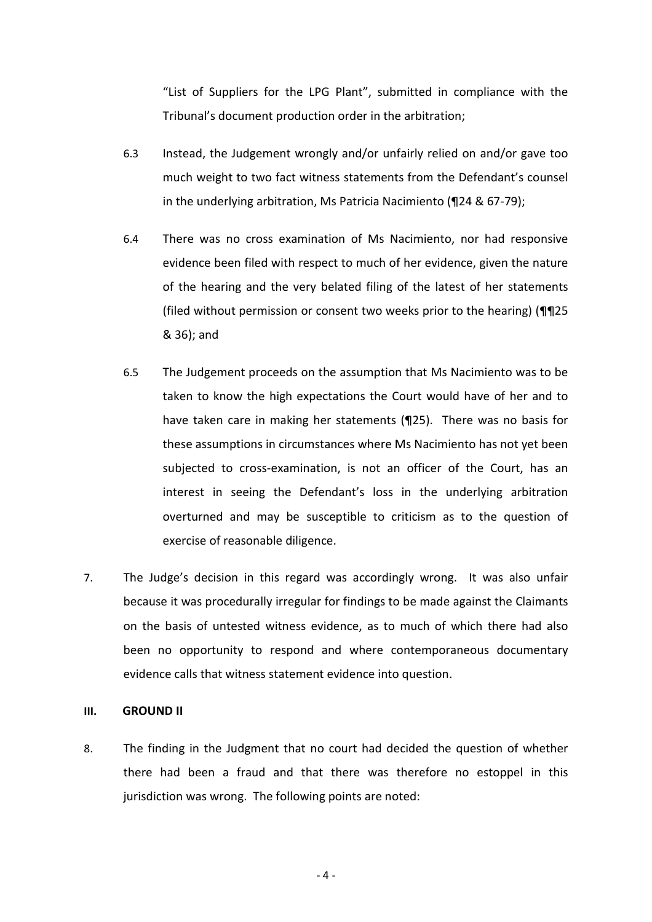"List of Suppliers for the LPG Plant", submitted in compliance with the Tribunal's document production order in the arbitration;

- 6.3 Instead, the Judgement wrongly and/or unfairly relied on and/or gave too much weight to two fact witness statements from the Defendant's counsel in the underlying arbitration, Ms Patricia Nacimiento (¶24 & 67-79);
- 6.4 There was no cross examination of Ms Nacimiento, nor had responsive evidence been filed with respect to much of her evidence, given the nature of the hearing and the very belated filing of the latest of her statements (filed without permission or consent two weeks prior to the hearing) (¶¶25 & 36); and
- 6.5 The Judgement proceeds on the assumption that Ms Nacimiento was to be taken to know the high expectations the Court would have of her and to have taken care in making her statements (¶25). There was no basis for these assumptions in circumstances where Ms Nacimiento has not yet been subjected to cross-examination, is not an officer of the Court, has an interest in seeing the Defendant's loss in the underlying arbitration overturned and may be susceptible to criticism as to the question of exercise of reasonable diligence.
- 7. The Judge's decision in this regard was accordingly wrong. It was also unfair because it was procedurally irregular for findings to be made against the Claimants on the basis of untested witness evidence, as to much of which there had also been no opportunity to respond and where contemporaneous documentary evidence calls that witness statement evidence into question.

#### **III. GROUND II**

8. The finding in the Judgment that no court had decided the question of whether there had been a fraud and that there was therefore no estoppel in this jurisdiction was wrong. The following points are noted: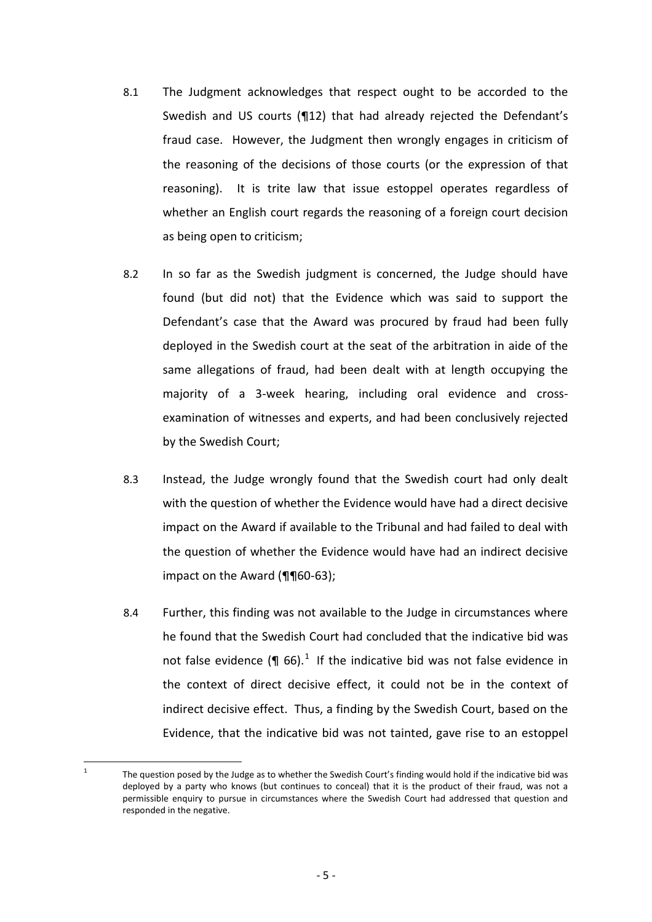- 8.1 The Judgment acknowledges that respect ought to be accorded to the Swedish and US courts (¶12) that had already rejected the Defendant's fraud case. However, the Judgment then wrongly engages in criticism of the reasoning of the decisions of those courts (or the expression of that reasoning). It is trite law that issue estoppel operates regardless of whether an English court regards the reasoning of a foreign court decision as being open to criticism;
- 8.2 In so far as the Swedish judgment is concerned, the Judge should have found (but did not) that the Evidence which was said to support the Defendant's case that the Award was procured by fraud had been fully deployed in the Swedish court at the seat of the arbitration in aide of the same allegations of fraud, had been dealt with at length occupying the majority of a 3-week hearing, including oral evidence and crossexamination of witnesses and experts, and had been conclusively rejected by the Swedish Court;
- 8.3 Instead, the Judge wrongly found that the Swedish court had only dealt with the question of whether the Evidence would have had a direct decisive impact on the Award if available to the Tribunal and had failed to deal with the question of whether the Evidence would have had an indirect decisive impact on the Award (¶¶60-63);
- 8.4 Further, this finding was not available to the Judge in circumstances where he found that the Swedish Court had concluded that the indicative bid was not false evidence  $(\P 66)^{1}$  $(\P 66)^{1}$  $(\P 66)^{1}$  If the indicative bid was not false evidence in the context of direct decisive effect, it could not be in the context of indirect decisive effect. Thus, a finding by the Swedish Court, based on the Evidence, that the indicative bid was not tainted, gave rise to an estoppel

<span id="page-4-0"></span><sup>&</sup>lt;sup>1</sup> The question posed by the Judge as to whether the Swedish Court's finding would hold if the indicative bid was deployed by a party who knows (but continues to conceal) that it is the product of their fraud, was not a permissible enquiry to pursue in circumstances where the Swedish Court had addressed that question and responded in the negative.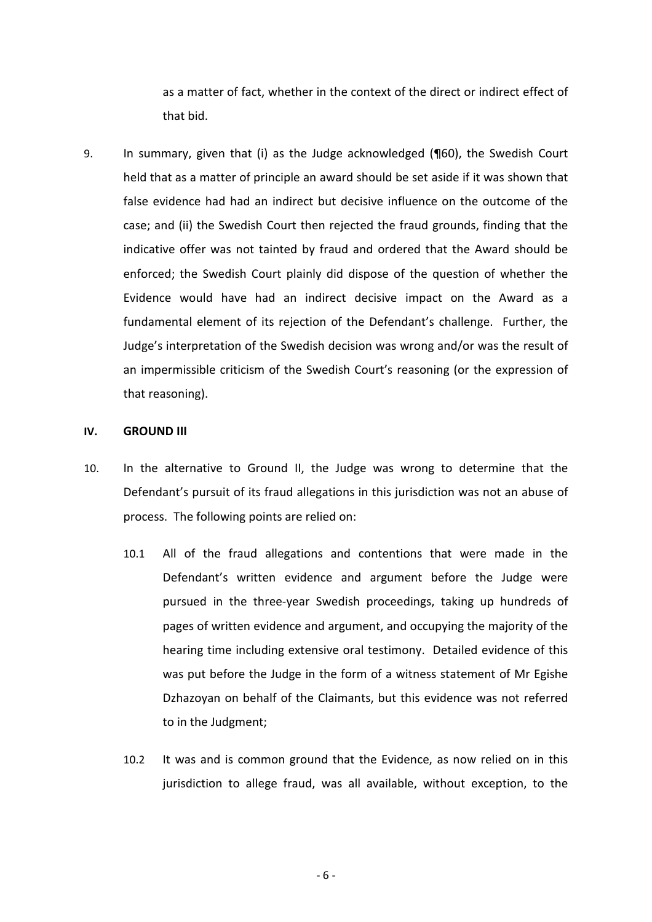as a matter of fact, whether in the context of the direct or indirect effect of that bid.

9. In summary, given that (i) as the Judge acknowledged (¶60), the Swedish Court held that as a matter of principle an award should be set aside if it was shown that false evidence had had an indirect but decisive influence on the outcome of the case; and (ii) the Swedish Court then rejected the fraud grounds, finding that the indicative offer was not tainted by fraud and ordered that the Award should be enforced; the Swedish Court plainly did dispose of the question of whether the Evidence would have had an indirect decisive impact on the Award as a fundamental element of its rejection of the Defendant's challenge. Further, the Judge's interpretation of the Swedish decision was wrong and/or was the result of an impermissible criticism of the Swedish Court's reasoning (or the expression of that reasoning).

#### **IV. GROUND III**

- 10. In the alternative to Ground II, the Judge was wrong to determine that the Defendant's pursuit of its fraud allegations in this jurisdiction was not an abuse of process. The following points are relied on:
	- 10.1 All of the fraud allegations and contentions that were made in the Defendant's written evidence and argument before the Judge were pursued in the three-year Swedish proceedings, taking up hundreds of pages of written evidence and argument, and occupying the majority of the hearing time including extensive oral testimony. Detailed evidence of this was put before the Judge in the form of a witness statement of Mr Egishe Dzhazoyan on behalf of the Claimants, but this evidence was not referred to in the Judgment;
	- 10.2 It was and is common ground that the Evidence, as now relied on in this jurisdiction to allege fraud, was all available, without exception, to the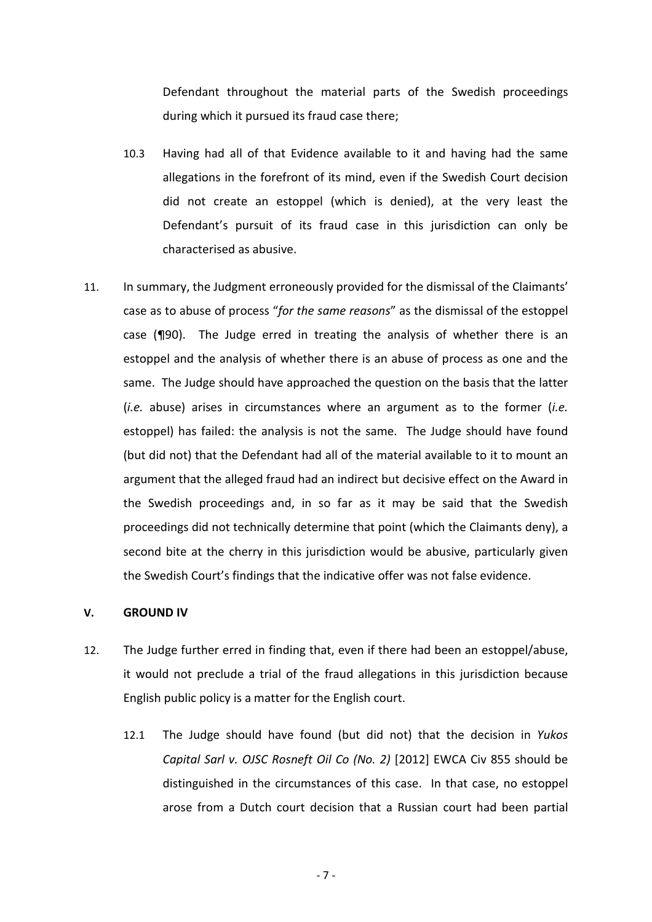Defendant throughout the material parts of the Swedish proceedings during which it pursued its fraud case there;

- 10.3 Having had all of that Evidence available to it and having had the same allegations in the forefront of its mind, even if the Swedish Court decision did not create an estoppel (which is denied), at the very least the Defendant's pursuit of its fraud case in this jurisdiction can only be characterised as abusive.
- 11. In summary, the Judgment erroneously provided for the dismissal of the Claimants' case as to abuse of process "*for the same reasons*" as the dismissal of the estoppel case (¶90). The Judge erred in treating the analysis of whether there is an estoppel and the analysis of whether there is an abuse of process as one and the same. The Judge should have approached the question on the basis that the latter (*i.e.* abuse) arises in circumstances where an argument as to the former (*i.e.*  estoppel) has failed: the analysis is not the same. The Judge should have found (but did not) that the Defendant had all of the material available to it to mount an argument that the alleged fraud had an indirect but decisive effect on the Award in the Swedish proceedings and, in so far as it may be said that the Swedish proceedings did not technically determine that point (which the Claimants deny), a second bite at the cherry in this jurisdiction would be abusive, particularly given the Swedish Court's findings that the indicative offer was not false evidence.

## **V. GROUND IV**

- 12. The Judge further erred in finding that, even if there had been an estoppel/abuse, it would not preclude a trial of the fraud allegations in this jurisdiction because English public policy is a matter for the English court.
	- 12.1 The Judge should have found (but did not) that the decision in *Yukos Capital Sarl v. OJSC Rosneft Oil Co (No. 2)* [2012] EWCA Civ 855 should be distinguished in the circumstances of this case. In that case, no estoppel arose from a Dutch court decision that a Russian court had been partial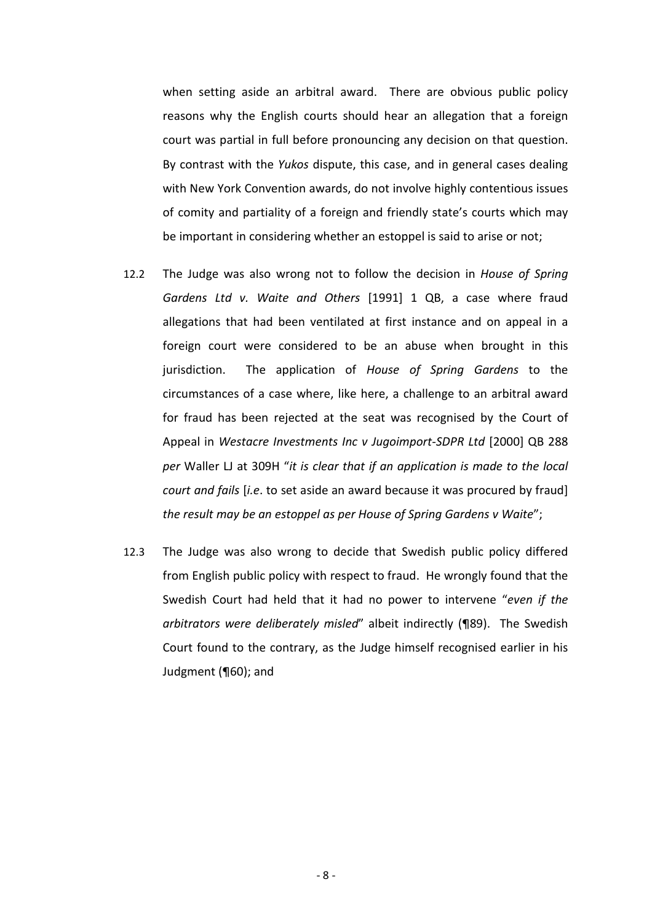when setting aside an arbitral award. There are obvious public policy reasons why the English courts should hear an allegation that a foreign court was partial in full before pronouncing any decision on that question. By contrast with the *Yukos* dispute, this case, and in general cases dealing with New York Convention awards, do not involve highly contentious issues of comity and partiality of a foreign and friendly state's courts which may be important in considering whether an estoppel is said to arise or not;

- 12.2 The Judge was also wrong not to follow the decision in *House of Spring Gardens Ltd v. Waite and Others* [1991] 1 QB, a case where fraud allegations that had been ventilated at first instance and on appeal in a foreign court were considered to be an abuse when brought in this jurisdiction. The application of *House of Spring Gardens* to the circumstances of a case where, like here, a challenge to an arbitral award for fraud has been rejected at the seat was recognised by the Court of Appeal in *Westacre Investments Inc v Jugoimport‐SDPR Ltd* [2000] QB 288 *per* Waller LJ at 309H "*it is clear that if an application is made to the local court and fails* [*i.e*. to set aside an award because it was procured by fraud] *the result may be an estoppel as per House of Spring Gardens v Waite*";
- 12.3 The Judge was also wrong to decide that Swedish public policy differed from English public policy with respect to fraud. He wrongly found that the Swedish Court had held that it had no power to intervene "*even if the arbitrators were deliberately misled*" albeit indirectly (¶89). The Swedish Court found to the contrary, as the Judge himself recognised earlier in his Judgment (¶60); and